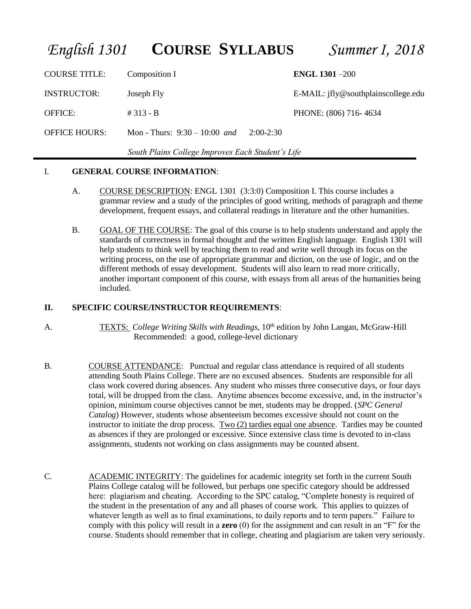# *English 1301* **COURSE SYLLABUS** *Summer I, 2018*

COURSE TITLE: Composition I **ENGL 1301** –200 INSTRUCTOR: Joseph Fly E-MAIL: jfly@southplainscollege.edu OFFICE: # 313 - B PHONE: (806) 716- 4634 OFFICE HOURS: Mon - Thurs: 9:30 – 10:00 *and* 2:00-2:30

 *South Plains College Improves Each Student's Life*

### I. **GENERAL COURSE INFORMATION**:

- A. COURSE DESCRIPTION: ENGL 1301 (3:3:0) Composition I. This course includes a grammar review and a study of the principles of good writing, methods of paragraph and theme development, frequent essays, and collateral readings in literature and the other humanities.
- B. GOAL OF THE COURSE: The goal of this course is to help students understand and apply the standards of correctness in formal thought and the written English language. English 1301 will help students to think well by teaching them to read and write well through its focus on the writing process, on the use of appropriate grammar and diction, on the use of logic, and on the different methods of essay development. Students will also learn to read more critically, another important component of this course, with essays from all areas of the humanities being included.

#### **II. SPECIFIC COURSE/INSTRUCTOR REQUIREMENTS**:

- A. TEXTS: *College Writing Skills with Readings*, 10<sup>th</sup> edition by John Langan, McGraw-Hill Recommended: a good, college-level dictionary
- B. COURSE ATTENDANCE: Punctual and regular class attendance is required of all students attending South Plains College. There are no excused absences. Students are responsible for all class work covered during absences. Any student who misses three consecutive days, or four days total, will be dropped from the class. Anytime absences become excessive, and, in the instructor's opinion, minimum course objectives cannot be met, students may be dropped. (*SPC General Catalog*) However, students whose absenteeism becomes excessive should not count on the instructor to initiate the drop process. Two (2) tardies equal one absence. Tardies may be counted as absences if they are prolonged or excessive. Since extensive class time is devoted to in-class assignments, students not working on class assignments may be counted absent.
- C. ACADEMIC INTEGRITY: The guidelines for academic integrity set forth in the current South Plains College catalog will be followed, but perhaps one specific category should be addressed here: plagiarism and cheating. According to the SPC catalog, "Complete honesty is required of the student in the presentation of any and all phases of course work. This applies to quizzes of whatever length as well as to final examinations, to daily reports and to term papers." Failure to comply with this policy will result in a **zero** (0) for the assignment and can result in an "F" for the course. Students should remember that in college, cheating and plagiarism are taken very seriously.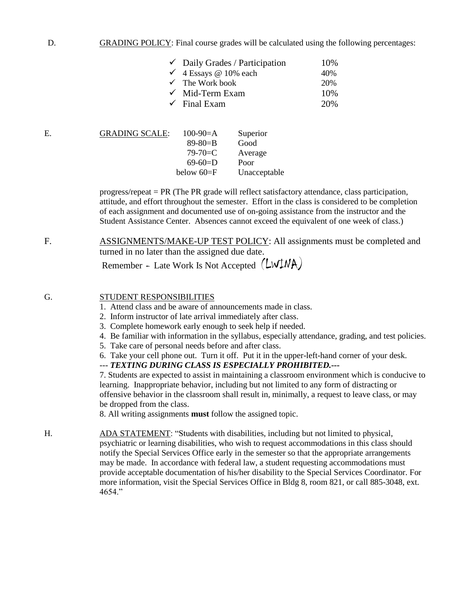#### D. GRADING POLICY: Final course grades will be calculated using the following percentages:

| $\checkmark$ Daily Grades / Participation | 10% |
|-------------------------------------------|-----|
| $\checkmark$ 4 Essays @ 10% each          | 40% |
| $\checkmark$ The Work book                | 20% |
| $\checkmark$ Mid-Term Exam                | 10% |
| $\checkmark$ Final Exam                   | 20% |

| Е. | <b>GRADING SCALE:</b> | $100-90=A$     | Superior     |
|----|-----------------------|----------------|--------------|
|    |                       | $89 - 80 = B$  | Good         |
|    |                       | $79 - 70 = C$  | Average      |
|    |                       | $69-60=$ D     | Poor         |
|    |                       | below $60 = F$ | Unacceptable |
|    |                       |                |              |

progress/repeat = PR (The PR grade will reflect satisfactory attendance, class participation, attitude, and effort throughout the semester. Effort in the class is considered to be completion of each assignment and documented use of on-going assistance from the instructor and the Student Assistance Center. Absences cannot exceed the equivalent of one week of class.)

F. ASSIGNMENTS/MAKE-UP TEST POLICY: All assignments must be completed and turned in no later than the assigned due date.

Remember - Late Work Is Not Accepted (LWINA)

#### G. STUDENT RESPONSIBILITIES

- 1. Attend class and be aware of announcements made in class.
- 2. Inform instructor of late arrival immediately after class.
- 3. Complete homework early enough to seek help if needed.
- 4. Be familiar with information in the syllabus, especially attendance, grading, and test policies.
- 5. Take care of personal needs before and after class.
- 6. Take your cell phone out. Turn it off. Put it in the upper-left-hand corner of your desk.

#### --- *TEXTING DURING CLASS IS ESPECIALLY PROHIBITED.---*

7. Students are expected to assist in maintaining a classroom environment which is conducive to learning. Inappropriate behavior, including but not limited to any form of distracting or offensive behavior in the classroom shall result in, minimally, a request to leave class, or may be dropped from the class.

8. All writing assignments **must** follow the assigned topic.

H. ADA STATEMENT: "Students with disabilities, including but not limited to physical, psychiatric or learning disabilities, who wish to request accommodations in this class should notify the Special Services Office early in the semester so that the appropriate arrangements may be made. In accordance with federal law, a student requesting accommodations must provide acceptable documentation of his/her disability to the Special Services Coordinator. For more information, visit the Special Services Office in Bldg 8, room 821, or call 885-3048, ext. 4654."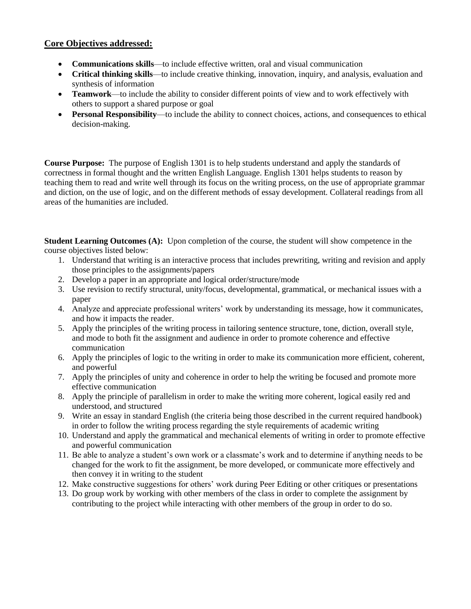## **Core Objectives addressed:**

- **Communications skills**—to include effective written, oral and visual communication
- **Critical thinking skills**—to include creative thinking, innovation, inquiry, and analysis, evaluation and synthesis of information
- **Teamwork**—to include the ability to consider different points of view and to work effectively with others to support a shared purpose or goal
- **Personal Responsibility**—to include the ability to connect choices, actions, and consequences to ethical decision-making.

**Course Purpose:** The purpose of English 1301 is to help students understand and apply the standards of correctness in formal thought and the written English Language. English 1301 helps students to reason by teaching them to read and write well through its focus on the writing process, on the use of appropriate grammar and diction, on the use of logic, and on the different methods of essay development. Collateral readings from all areas of the humanities are included.

**Student Learning Outcomes (A):** Upon completion of the course, the student will show competence in the course objectives listed below:

- 1. Understand that writing is an interactive process that includes prewriting, writing and revision and apply those principles to the assignments/papers
- 2. Develop a paper in an appropriate and logical order/structure/mode
- 3. Use revision to rectify structural, unity/focus, developmental, grammatical, or mechanical issues with a paper
- 4. Analyze and appreciate professional writers' work by understanding its message, how it communicates, and how it impacts the reader.
- 5. Apply the principles of the writing process in tailoring sentence structure, tone, diction, overall style, and mode to both fit the assignment and audience in order to promote coherence and effective communication
- 6. Apply the principles of logic to the writing in order to make its communication more efficient, coherent, and powerful
- 7. Apply the principles of unity and coherence in order to help the writing be focused and promote more effective communication
- 8. Apply the principle of parallelism in order to make the writing more coherent, logical easily red and understood, and structured
- 9. Write an essay in standard English (the criteria being those described in the current required handbook) in order to follow the writing process regarding the style requirements of academic writing
- 10. Understand and apply the grammatical and mechanical elements of writing in order to promote effective and powerful communication
- 11. Be able to analyze a student's own work or a classmate's work and to determine if anything needs to be changed for the work to fit the assignment, be more developed, or communicate more effectively and then convey it in writing to the student
- 12. Make constructive suggestions for others' work during Peer Editing or other critiques or presentations
- 13. Do group work by working with other members of the class in order to complete the assignment by contributing to the project while interacting with other members of the group in order to do so.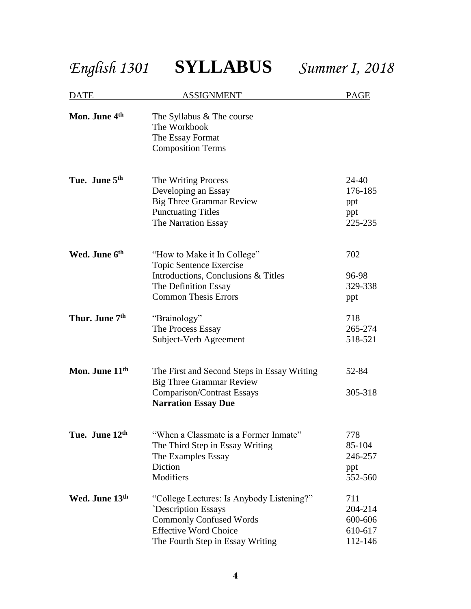*English 1301* **SYLLABUS** *Summer I, 2018*

| <b>DATE</b>                | <b>ASSIGNMENT</b>                                                                                                                                                            | <u>PAGE</u>                                     |
|----------------------------|------------------------------------------------------------------------------------------------------------------------------------------------------------------------------|-------------------------------------------------|
| Mon. June 4 <sup>th</sup>  | The Syllabus & The course<br>The Workbook<br>The Essay Format<br><b>Composition Terms</b>                                                                                    |                                                 |
| Tue. June 5 <sup>th</sup>  | The Writing Process<br>Developing an Essay<br><b>Big Three Grammar Review</b><br><b>Punctuating Titles</b><br>The Narration Essay                                            | 24-40<br>176-185<br>ppt<br>ppt<br>225-235       |
| Wed. June 6th              | "How to Make it In College"<br>Topic Sentence Exercise<br>Introductions, Conclusions & Titles<br>The Definition Essay<br><b>Common Thesis Errors</b>                         | 702<br>96-98<br>329-338<br>ppt                  |
| Thur. June 7 <sup>th</sup> | "Brainology"<br>The Process Essay<br>Subject-Verb Agreement                                                                                                                  | 718<br>265-274<br>518-521                       |
| Mon. June 11 <sup>th</sup> | The First and Second Steps in Essay Writing<br><b>Big Three Grammar Review</b><br><b>Comparison/Contrast Essays</b><br><b>Narration Essay Due</b>                            | 52-84<br>305-318                                |
| Tue. June 12th             | "When a Classmate is a Former Inmate"<br>The Third Step in Essay Writing<br>The Examples Essay<br>Diction<br>Modifiers                                                       | 778<br>85-104<br>246-257<br>ppt<br>552-560      |
| Wed. June 13th             | "College Lectures: Is Anybody Listening?"<br><b>Description Essays</b><br><b>Commonly Confused Words</b><br><b>Effective Word Choice</b><br>The Fourth Step in Essay Writing | 711<br>204-214<br>600-606<br>610-617<br>112-146 |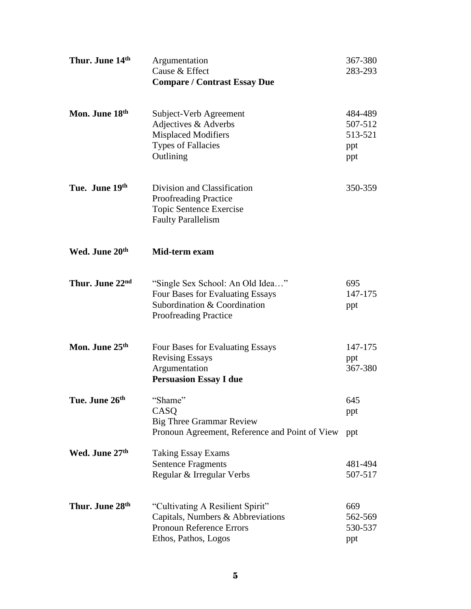| Thur. June 14th            | Argumentation<br>Cause & Effect<br><b>Compare / Contrast Essay Due</b>                                                               | 367-380<br>283-293                          |
|----------------------------|--------------------------------------------------------------------------------------------------------------------------------------|---------------------------------------------|
| Mon. June 18 <sup>th</sup> | Subject-Verb Agreement<br>Adjectives & Adverbs<br><b>Misplaced Modifiers</b><br><b>Types of Fallacies</b><br>Outlining               | 484-489<br>507-512<br>513-521<br>ppt<br>ppt |
| Tue. June 19th             | Division and Classification<br>Proofreading Practice<br>Topic Sentence Exercise<br><b>Faulty Parallelism</b>                         | 350-359                                     |
| Wed. June 20 <sup>th</sup> | Mid-term exam                                                                                                                        |                                             |
| Thur. June 22nd            | "Single Sex School: An Old Idea"<br>Four Bases for Evaluating Essays<br>Subordination & Coordination<br><b>Proofreading Practice</b> | 695<br>147-175<br>ppt                       |
| Mon. June 25 <sup>th</sup> | Four Bases for Evaluating Essays<br><b>Revising Essays</b><br>Argumentation<br><b>Persuasion Essay I due</b>                         | 147-175<br>ppt<br>367-380                   |
| Tue. June 26 <sup>th</sup> | "Shame"<br>CASQ<br><b>Big Three Grammar Review</b><br>Pronoun Agreement, Reference and Point of View                                 | 645<br>ppt<br>ppt                           |
| Wed. June 27th             | <b>Taking Essay Exams</b><br><b>Sentence Fragments</b><br>Regular & Irregular Verbs                                                  | 481-494<br>507-517                          |
| Thur. June 28th            | "Cultivating A Resilient Spirit"<br>Capitals, Numbers & Abbreviations<br><b>Pronoun Reference Errors</b><br>Ethos, Pathos, Logos     | 669<br>562-569<br>530-537<br>ppt            |